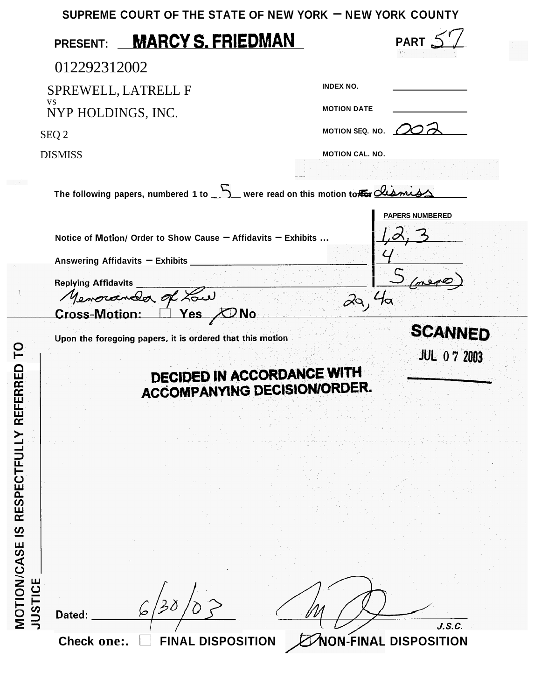|                                                                                    | SUPREME COURT OF THE STATE OF NEW YORK $-$ NEW YORK COUNTY                                                                                  |                              |                                      |
|------------------------------------------------------------------------------------|---------------------------------------------------------------------------------------------------------------------------------------------|------------------------------|--------------------------------------|
| <b>PRESENT:</b>                                                                    | <b>MARCY S. FRIEDMAN</b>                                                                                                                    |                              |                                      |
| 012292312002                                                                       |                                                                                                                                             |                              |                                      |
| <b>INDEX NO.</b><br>SPREWELL, LATRELL F                                            |                                                                                                                                             |                              |                                      |
| <b>VS</b><br>NYP HOLDINGS, INC.                                                    |                                                                                                                                             | <b>MOTION DATE</b>           |                                      |
| SEQ 2                                                                              |                                                                                                                                             | MOTION SEQ. NO.              |                                      |
| <b>DISMISS</b>                                                                     |                                                                                                                                             | <b>MOTION CAL. NO.</b>       |                                      |
| The following papers, numbered 1 to ____ were read on this motion to the cliential |                                                                                                                                             |                              |                                      |
| <b>Replying Affidavits</b><br><b>Cross-Motion:</b>                                 | Notice of Motion/ Order to Show Cause - Affidavits - Exhibits<br>Answering Affidavits - Exhibits<br>Memorandor of Low<br>Yes,<br><b>DNO</b> | ਕਿ                           | <b>PAPERS NUMBERED</b>               |
| RED<br>MOTION/CASE IS RESPECTFULLY REFER<br><b>JUSTICE</b><br>Dated:               | Upon the foregoing papers, it is ordered that this motion<br><b>DECIDED IN ACCORDANCE WITH</b><br><b>ACCOMPANYING DECISION/ORDER</b>        |                              | <b>SCANNED</b><br><b>JUL 07 2003</b> |
| Check one:.                                                                        | <b>FINAL DISPOSITION</b>                                                                                                                    | <b>NON-FINAL DISPOSITION</b> | J.S.C.                               |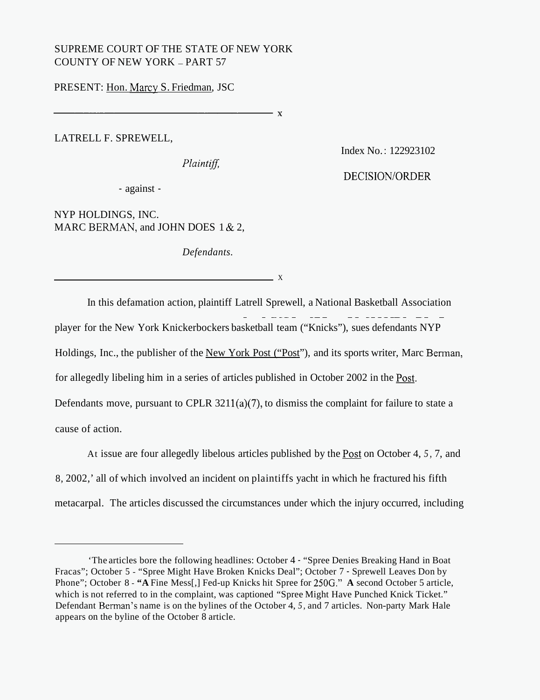## SUPREME COURT OF THE STATE OF NEW YORK COUNTY OF NEW YORK - PART 57

PRESENT: Hon. Marcy S. Friedman, JSC

LATRELL F. SPREWELL,

*Plaintiff.* 

Index No. : 122923102

DECISION/ORDER

- against -

NYP HOLDINGS, INC. MARC BERMAN, and JOHN DOES 1 & 2,

*Defendants.* 

 $\overline{X}$ 

 $\mathbf{Y}$ 

In this defamation action, plaintiff Latrell Sprewell, a National Basketball Association  $~\frac{1}{2}$   $~\frac{1}{2}$   $~\frac{1}{2}$   $~\frac{1}{2}$   $~\frac{1}{2}$   $~\frac{1}{2}$   $~\frac{1}{2}$   $~\frac{1}{2}$   $~\frac{1}{2}$   $~\frac{1}{2}$   $~\frac{1}{2}$   $~\frac{1}{2}$   $~\frac{1}{2}$   $~\frac{1}{2}$   $~\frac{1}{2}$   $~\frac{1}{2}$   $~\frac{1}{2}$   $~\frac{1}{2}$   $~\frac{1}{2}$   $~\frac{1}{2}$  player for the New York Knickerbockers basketball team ("Knicks"), sues defendants NYP Holdings, Inc., the publisher of the New York Post ("Post"), and its sports writer, Marc Berman, for allegedly libeling him in a series of articles published in October 2002 in the **Post.**  Defendants move, pursuant to CPLR  $3211(a)(7)$ , to dismiss the complaint for failure to state a cause of action.

At issue are four allegedly libelous articles published by the **Post** on October 4, *5,* 7, and 8, 2002,' all of which involved an incident on plaintiffs yacht in which he fractured his fifth metacarpal. The articles discussed the circumstances under which the injury occurred, including

<sup>&#</sup>x27;The articles bore the following headlines: October 4 - "Spree Denies Breaking Hand in Boat Fracas"; October 5 - "Spree Might Have Broken Knicks Deal"; October 7 - Sprewell Leaves Don by Phone"; October 8 - **"A** Fine Mess[,] Fed-up Knicks hit Spree for 250G." **A** second October 5 article, which is not referred to in the complaint, was captioned "Spree Might Have Punched Knick Ticket." Defendant Berman's name is on the bylines of the October 4, *5,* and 7 articles. Non-party Mark Hale appears on the byline of the October 8 article.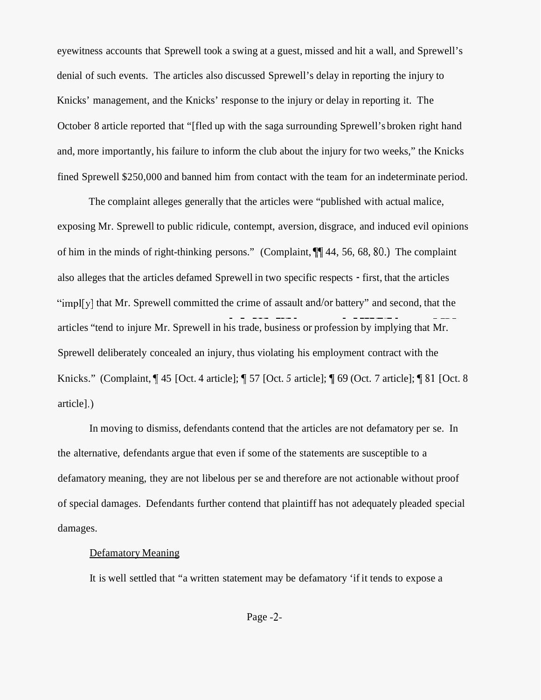eyewitness accounts that Sprewell took a swing at a guest, missed and hit a wall, and Sprewell's denial of such events. The articles also discussed Sprewell's delay in reporting the injury to Knicks' management, and the Knicks' response to the injury or delay in reporting it. The October 8 article reported that "[fled up with the saga surrounding Sprewell's broken right hand and, more importantly, his failure to inform the club about the injury for two weeks," the Knicks fined Sprewell \$250,000 and banned him from contact with the team for an indeterminate period.

The complaint alleges generally that the articles were "published with actual malice, exposing Mr. Sprewell to public ridicule, contempt, aversion, disgrace, and induced evil opinions of him in the minds of right-thinking persons." (Complaint, **71** 44, 56, 68, *SO.)* The complaint also alleges that the articles defamed Sprewell in two specific respects - first, that the articles "impl[y] that Mr. Sprewell committed the crime of assault and/or battery" and second, that the articles "tend to injure Mr. Sprewell in his trade, business or profession by implying that Mr. ~ ~ ~~~ ~~~~ ~ ~~~~~~~ ~ ~~~ Sprewell deliberately concealed an injury, thus violating his employment contract with the Knicks." (Complaint, 145 [Oct. 4 article]; 157 [Oct. 5 article]; 169 (Oct. 7 article]; 181 [Oct. 8 article] .)

In moving to dismiss, defendants contend that the articles are not defamatory per se. In the alternative, defendants argue that even if some of the statements are susceptible to a defamatory meaning, they are not libelous per se and therefore are not actionable without proof of special damages. Defendants further contend that plaintiff has not adequately pleaded special damages.

## Defamatory Meaning

It is well settled that "a written statement may be defamatory 'if it tends to expose a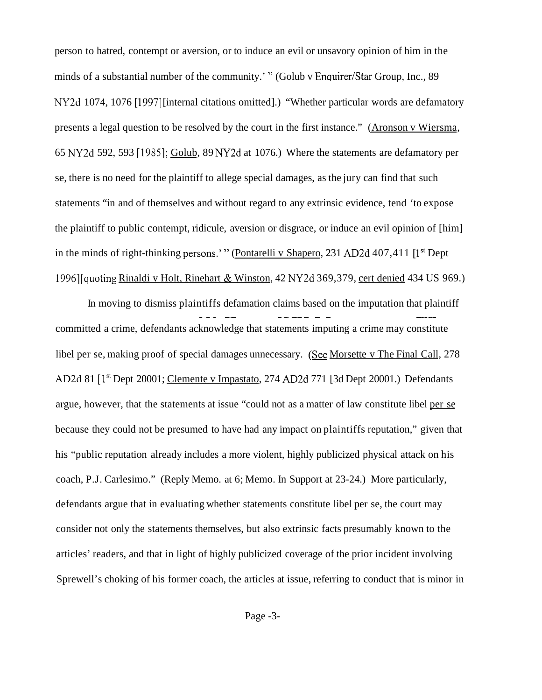person to hatred, contempt or aversion, or to induce an evil or unsavory opinion of him in the minds of a substantial number of the community.' " (Golub v Enquirer/Star Group, Inc., 89) NY2d 1074, 1076 [1997] [internal citations omitted].) "Whether particular words are defamatory presents a legal question to be resolved by the court in the first instance." (Aronson v Wiersma, 65 NY2d 592, 593 [1985]; Golub, 89 NY2d at 1076.) Where the statements are defamatory per se, there is no need for the plaintiff to allege special damages, as the jury can find that such statements "in and of themselves and without regard to any extrinsic evidence, tend 'to expose the plaintiff to public contempt, ridicule, aversion or disgrace, or induce an evil opinion of [him] in the minds of right-thinking persons.' " (Pontarelli v Shapero, 231 AD2d 407,411 [1<sup>st</sup> Dept 1996][quoting Rinaldi v Holt, Rinehart & Winston, 42 NY2d 369,379, cert denied 434 US 969.)

In moving to dismiss plaintiffs defamation claims based on the imputation that plaintiff ~~~ ~~ ~~~~~ ~ ~ ~~ committed a crime, defendants acknowledge that statements imputing a crime may constitute libel per se, making proof of special damages unnecessary. (See Morsette v The Final Call, 278 AD2d 81 [1<sup>st</sup> Dept 20001; Clemente v Impastato, 274 AD2d 771 [3d Dept 20001.) Defendants argue, however, that the statements at issue "could not as a matter of law constitute libel per se because they could not be presumed to have had any impact on plaintiffs reputation," given that his "public reputation already includes a more violent, highly publicized physical attack on his coach, P.J. Carlesimo." (Reply Memo. at 6; Memo. In Support at 23-24.) More particularly, defendants argue that in evaluating whether statements constitute libel per se, the court may consider not only the statements themselves, but also extrinsic facts presumably known to the articles' readers, and that in light of highly publicized coverage of the prior incident involving Sprewell's choking of his former coach, the articles at issue, referring to conduct that is minor in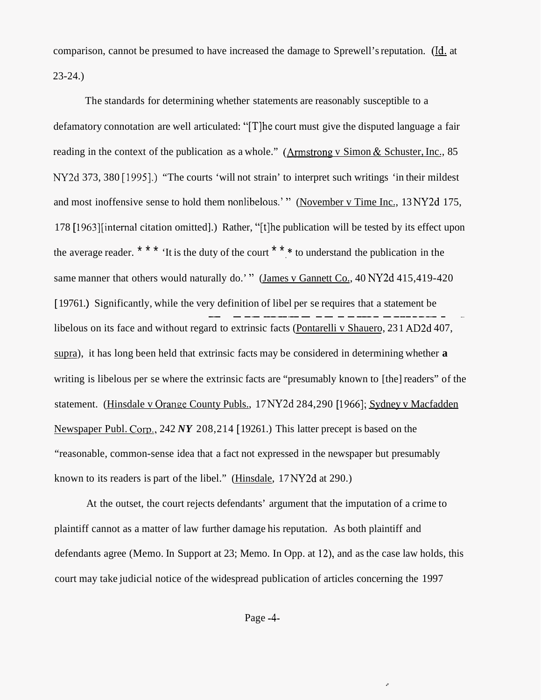comparison, cannot be presumed to have increased the damage to Sprewell's reputation. (Id. at 23-24.)

The standards for determining whether statements are reasonably susceptible to a defamatory connotation are well articulated: "[T] he court must give the disputed language a fair reading in the context of the publication as a whole." (Armstrong v Simon & Schuster, Inc., 85 NY2d 373, 380 [1995].) "The courts 'will not strain' to interpret such writings 'in their mildest and most inoffensive sense to hold them nonlibelous.' " (November v Time Inc., 13 NY2d 175, 178 [1963] [internal citation omitted].) Rather, "[t] he publication will be tested by its effect upon the average reader. \* \* \*  $\cdot$  It is the duty of the court  $\cdot$  \* \*  $\cdot$  to understand the publication in the same manner that others would naturally do.' " (James v Gannett Co., 40 NY2d 415,419-420 [19761]. Significantly, while the very definition of libel per se requires that a statement be libelous on its face and without regard to extrinsic facts (Pontarelli v Shauero, 23 1 AD2d 407, supra), it has long been held that extrinsic facts may be considered in determining whether **a**  writing is libelous per se where the extrinsic facts are "presumably known to [the] readers" of the statement. (Hinsdale v Orange County Publs., 17 NY2d 284, 290 [1966]; Sydney v Macfadden Newspaper Publ. Corn., 242 *NY* 208,214 [ 19261.) This latter precept is based on the ~~ ~ ~~ ~~~~~~~~ ~~ ~ ~~~~~ ~~~~~~~~ ~ "reasonable, common-sense idea that a fact not expressed in the newspaper but presumably known to its readers is part of the libel." (Hinsdale, 17 NY2d at 290.)

At the outset, the court rejects defendants' argument that the imputation of a crime to plaintiff cannot as a matter of law further damage his reputation. As both plaintiff and defendants agree (Memo. In Support at 23; Memo. In Opp. at 12), and as the case law holds, this court may take judicial notice of the widespread publication of articles concerning the 1997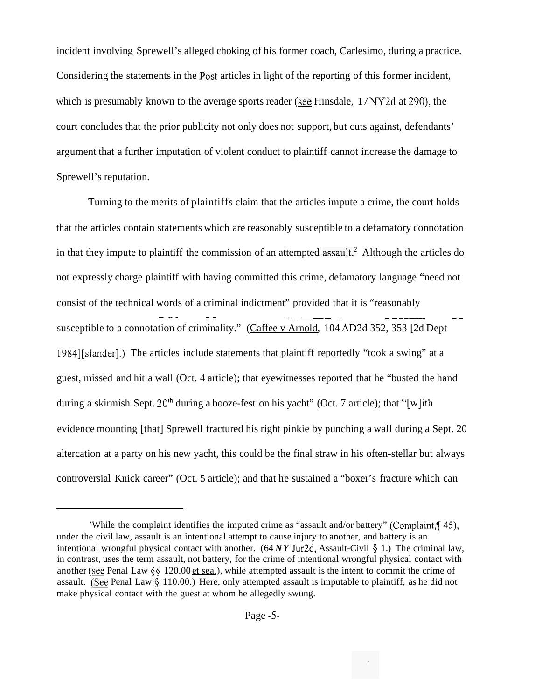incident involving Sprewell's alleged choking of his former coach, Carlesimo, during a practice. Considering the statements in the **Post** articles in light of the reporting of this former incident, which is presumably known to the average sports reader *(see* Hinsdale, 17 NY2d at 290), the court concludes that the prior publicity not only does not support, but cuts against, defendants' argument that a further imputation of violent conduct to plaintiff cannot increase the damage to Sprewell's reputation.

Turning to the merits of plaintiffs claim that the articles impute a crime, the court holds that the articles contain statements which are reasonably susceptible to a defamatory connotation in that they impute to plaintiff the commission of an attempted assault.<sup>2</sup> Although the articles do not expressly charge plaintiff with having committed this crime, defamatory language "need not consist of the technical words of a criminal indictment" provided that it is "reasonably  $- - - - - +$   $- - - -$ susceptible to a connotation of criminality." (Caffee v Arnold, 104 AD2d 352, 353 [2d Dept 1984][slander].) The articles include statements that plaintiff reportedly "took a swing" at a guest, missed and hit a wall (Oct. 4 article); that eyewitnesses reported that he "busted the hand during a skirmish Sept.  $20<sup>th</sup>$  during a booze-fest on his yacht" (Oct. 7 article); that "[w]ith evidence mounting [that] Sprewell fractured his right pinkie by punching a wall during a Sept. 20 altercation at a party on his new yacht, this could be the final straw in his often-stellar but always controversial Knick career" (Oct. 5 article); and that he sustained a "boxer's fracture which can

<sup>&#</sup>x27;While the complaint identifies the imputed crime as "assault and/or battery" (Complaint, $\P$ 45), under the civil law, assault is an intentional attempt to cause injury to another, and battery is an intentional wrongful physical contact with another. (64 *NY* Jur2d, Assault-Civil *5* 1 .) The criminal law, in contrast, uses the term assault, not battery, for the crime of intentional wrongful physical contact with another (see Penal Law §§ 120.00 et sea.), while attempted assault is the intent to commit the crime of assault. (See Penal Law  $\S$  110.00.) Here, only attempted assault is imputable to plaintiff, as he did not make physical contact with the guest at whom he allegedly swung.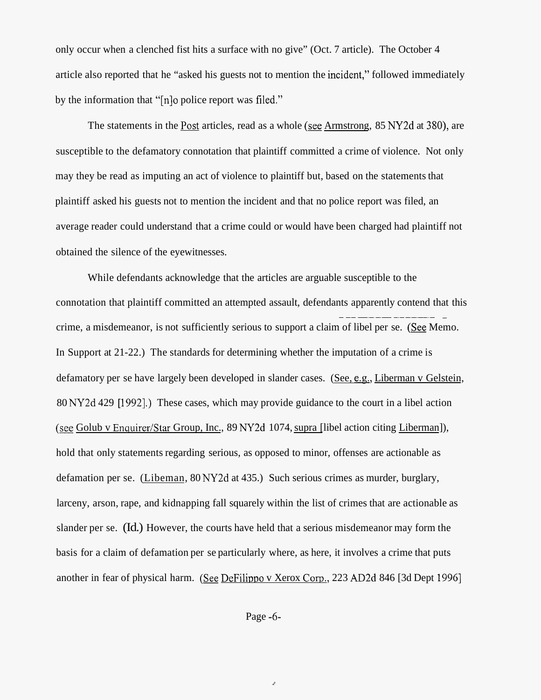only occur when a clenched fist hits a surface with no give" (Oct. 7 article). The October 4 article also reported that he "asked his guests not to mention the incident," followed immediately by the information that "[n]o police report was filed."

The statements in the Post articles, read as a whole (see Armstrong, 85 NY2d at 380), are susceptible to the defamatory connotation that plaintiff committed a crime of violence. Not only may they be read as imputing an act of violence to plaintiff but, based on the statements that plaintiff asked his guests not to mention the incident and that no police report was filed, an average reader could understand that a crime could or would have been charged had plaintiff not obtained the silence of the eyewitnesses.

While defendants acknowledge that the articles are arguable susceptible to the connotation that plaintiff committed an attempted assault, defendants apparently contend that this crime, a misdemeanor, is not sufficiently serious to support a claim of libel per se. **(See** Memo. In Support at 21-22.) The standards for determining whether the imputation of a crime is defamatory per se have largely been developed in slander cases. (See, e.g., Liberman v Gelstein, 80 NY2d 429 [1992].) These cases, which may provide guidance to the court in a libel action *(see Golub v Enquirer/Star Group, Inc., 89 NY2d 1074, supra [libel action citing Liberman]),* ~~~~~~~~~~~~~~ hold that only statements regarding serious, as opposed to minor, offenses are actionable as defamation per se. (Libeman, 80 NY2d at 435.) Such serious crimes as murder, burglary, larceny, arson, rape, and kidnapping fall squarely within the list of crimes that are actionable as slander per se. (Id.) However, the courts have held that a serious misdemeanor may form the basis for a claim of defamation per se particularly where, as here, it involves a crime that puts another in fear of physical harm. (See DeFilippo v Xerox Corp., 223 AD2d 846 [3d Dept 1996]

Page -6-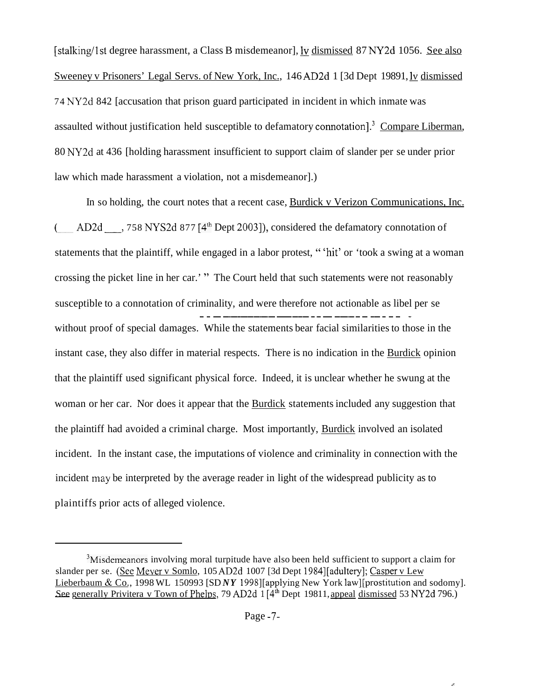[stalking/1st degree harassment, a Class B misdemeanor], ly dismissed 87 NY2d 1056. See also Sweeney v Prisoners' Legal Servs. of New York, Inc., 146 AD2d 1 [3d Dept 19891, <u>Iv</u> dismissed 74 NY2d 842 [accusation that prison guard participated in incident in which inmate was assaulted without justification held susceptible to defamatory connotation].<sup>3</sup> Compare Liberman, 80 NY2d at 436 [holding harassment insufficient to support claim of slander per se under prior law which made harassment a violation, not a misdemeanor].)

In so holding, the court notes that a recent case, Burdick v Verizon Communications, Inc. AD2d  $-$ , 758 NYS2d 877 [4<sup>th</sup> Dept 2003]), considered the defamatory connotation of  $\left($ statements that the plaintiff, while engaged in a labor protest, " 'hit' or 'took a swing at a woman crossing the picket line in her car.' " The Court held that such statements were not reasonably susceptible to a connotation of criminality, and were therefore not actionable as libel per se ~ ~ ~ ~~~~~~~~ ~~~~~~ ~ ~~~~ ~ ~~ ~ ~ ~ without proof of special damages. While the statements bear facial similarities to those in the instant case, they also differ in material respects. There is no indication in the Burdick opinion that the plaintiff used significant physical force. Indeed, it is unclear whether he swung at the woman or her car. Nor does it appear that the Burdick statements included any suggestion that the plaintiff had avoided a criminal charge. Most importantly, Burdick involved an isolated incident. In the instant case, the imputations of violence and criminality in connection with the incident may be interpreted by the average reader in light of the widespread publicity as to plaintiffs prior acts of alleged violence.

<sup>&</sup>lt;sup>3</sup>Misdemeanors involving moral turpitude have also been held sufficient to support a claim for slander per se. (See Meyer v Somlo, 105 AD2d 1007 [3d Dept 1984][adultery]; Casper v Lew Lieberbaum & Co., 1998 WL 150993 [SD *NY* 1998][applying New York law][prostitution and sodomy]. See generally Privitera v Town of Phelps, 79 AD2d 1 [4<sup>th</sup> Dept 19811, appeal dismissed 53 NY2d 796.)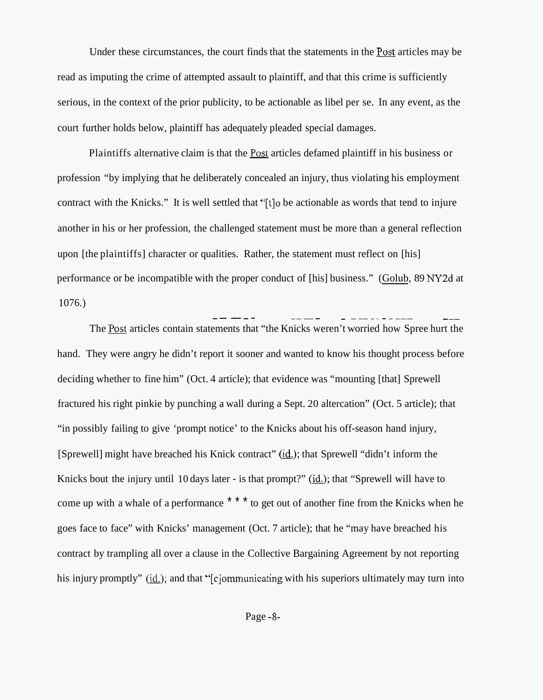Under these circumstances, the court finds that the statements in the **Post** articles may be read as imputing the crime of attempted assault to plaintiff, and that this crime is sufficiently serious, in the context of the prior publicity, to be actionable as libel per se. In any event, as the court further holds below, plaintiff has adequately pleaded special damages.

Plaintiffs alternative claim is that the **Post** articles defamed plaintiff in his business or profession "by implying that he deliberately concealed an injury, thus violating his employment contract with the Knicks." It is well settled that "[t]o be actionable as words that tend to injure another in his or her profession, the challenged statement must be more than a general reflection upon [the plaintiffs] character or qualities. Rather, the statement must reflect on [his] performance or be incompatible with the proper conduct of [his] business." (Golub, 89 NY2d at 1076.) ~ ~~ ~~ ~ ~ ~~~~ ~ ~ ~ ~~~- ~ ~-

The **Post** articles contain statements that "the Knicks weren't worried how Spree hurt the hand. They were angry he didn't report it sooner and wanted to know his thought process before deciding whether to fine him" (Oct. 4 article); that evidence was "mounting [that] Sprewell fractured his right pinkie by punching a wall during a Sept. 20 altercation" (Oct. 5 article); that "in possibly failing to give 'prompt notice' to the Knicks about his off-season hand injury, [Sprewell] might have breached his Knick contract" (id.); that Sprewell "didn't inform the Knicks bout the injury until 10 days later - is that prompt?" (id.); that "Sprewell will have to come up with a whale of a performance \* \* \* to get out of another fine from the Knicks when he goes face to face" with Knicks' management (Oct. 7 article); that he "may have breached his contract by trampling all over a clause in the Collective Bargaining Agreement by not reporting his injury promptly" ( $id.$ ); and that "[c]ommunicating with his superiors ultimately may turn into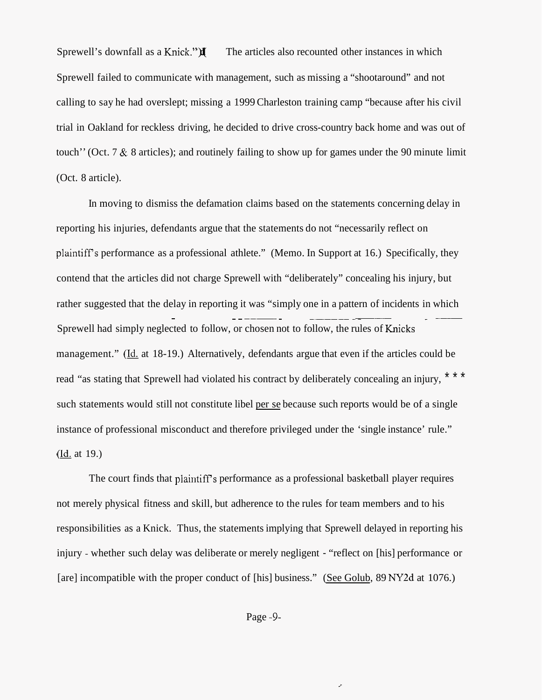Sprewell's downfall as a Knick." $\mathbf{X}$  The articles also recounted other instances in which Sprewell failed to communicate with management, such as missing a "shootaround" and not calling to say he had overslept; missing a 1999 Charleston training camp "because after his civil trial in Oakland for reckless driving, he decided to drive cross-country back home and was out of touch'' (Oct. 7 & 8 articles); and routinely failing to show up for games under the 90 minute limit (Oct. 8 article).

In moving to dismiss the defamation claims based on the statements concerning delay in reporting his injuries, defendants argue that the statements do not "necessarily reflect on plaintiff's performance as a professional athlete." (Memo. In Support at 16.) Specifically, they contend that the articles did not charge Sprewell with "deliberately" concealing his injury, but rather suggested that the delay in reporting it was "simply one in a pattern of incidents in which Sprewell had simply neglected to follow, or chosen not to follow, the rules of Knicks ~ ~ ~ ~~~~ ~ ~~~~~ ~~~~ management." (Id. at 18-19.) Alternatively, defendants argue that even if the articles could be read "as stating that Sprewell had violated his contract by deliberately concealing an injury, \* \* \* such statements would still not constitute libel per se because such reports would be of a single instance of professional misconduct and therefore privileged under the 'single instance' rule."  $(\underline{Id.}$  at 19.)

The court finds that plaintiff's performance as a professional basketball player requires not merely physical fitness and skill, but adherence to the rules for team members and to his responsibilities as a Knick. Thus, the statements implying that Sprewell delayed in reporting his injury - whether such delay was deliberate or merely negligent - "reflect on [his] performance or [are] incompatible with the proper conduct of [his] business." (See Golub, 89 NY2d at 1076.)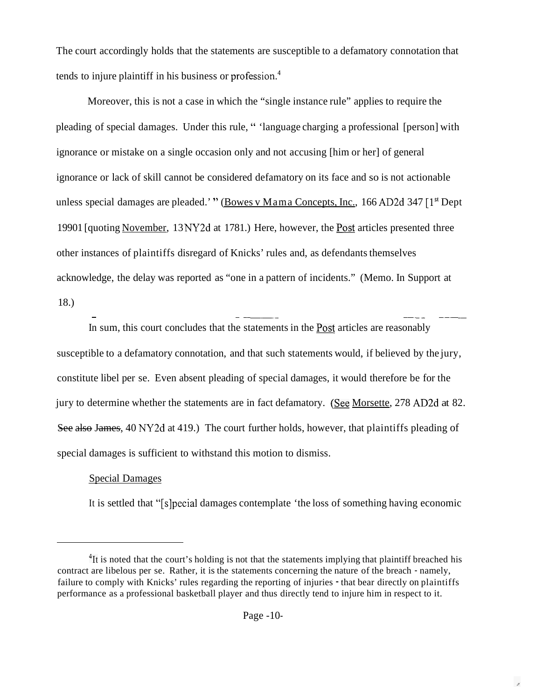The court accordingly holds that the statements are susceptible to a defamatory connotation that tends to injure plaintiff in his business or profession.<sup>4</sup>

Moreover, this is not a case in which the "single instance rule" applies to require the pleading of special damages. Under this rule, " 'language charging a professional [person] with ignorance or mistake on a single occasion only and not accusing [him or her] of general ignorance or lack of skill cannot be considered defamatory on its face and so is not actionable unless special damages are pleaded.' " (Bowes v Mama Concepts, Inc., 166 AD2d 347  $[1^{\text{st}}$  Dept 19901 [quoting November, 13 NY2d at 1781.) Here, however, the Post articles presented three other instances of plaintiffs disregard of Knicks' rules and, as defendants themselves acknowledge, the delay was reported as "one in a pattern of incidents." (Memo. In Support at 18.)

~ \_ ~~\_\_ In sum, this court concludes that the statements in the Post articles are reasonably susceptible to a defamatory connotation, and that such statements would, if believed by the jury, constitute libel per se. Even absent pleading of special damages, it would therefore be for the jury to determine whether the statements are in fact defamatory. *(See* Morsette, 278 AD2d at 82. constitute libel per se. Even absent pleading of special damages, it would therefore be for the jury to determine whether the statements are in fact defamatory. (See Morsette, 278 AD2d at 82 See also James, 40 NY2d at 419. special damages is sufficient to withstand this motion to dismiss.

## Special Damages

It is settled that "[slpecial damages contemplate 'the loss of something having economic

<sup>&</sup>lt;sup>4</sup>It is noted that the court's holding is not that the statements implying that plaintiff breached his contract are libelous per se. Rather, it is the statements concerning the nature of the breach - namely, failure to comply with Knicks' rules regarding the reporting of injuries - that bear directly on plaintiffs performance as a professional basketball player and thus directly tend to injure him in respect to it.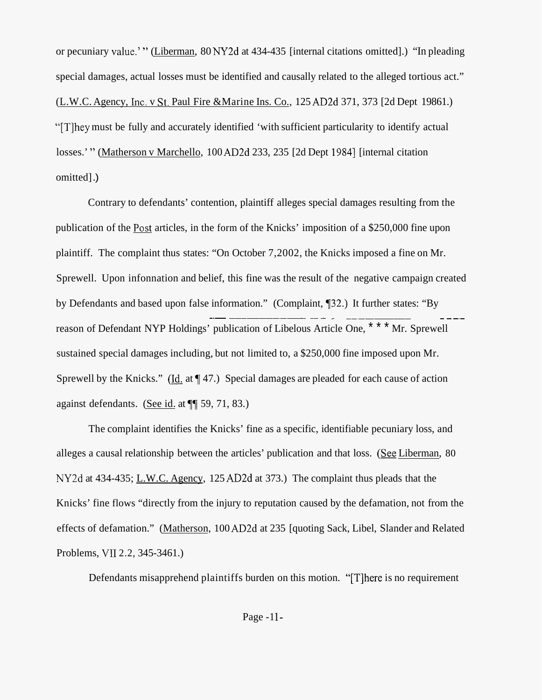or pecuniary value.' " (Liberman, 80 NY2d at 434-435 [internal citations omitted].) "In pleading special damages, actual losses must be identified and causally related to the alleged tortious act." (L.W.C. Agency, Lnc. v St. Paul Fire &Marine Ins. Co., 125 AD2d 371, 373 [2d Dept 19861.) "[Tlhey must be fully and accurately identified 'with sufficient particularity to identify actual losses.'" (Matherson v Marchello, 100 AD2d 233, 235 [2d Dept 1984] [internal citation omitted] .)

Contrary to defendants' contention, plaintiff alleges special damages resulting from the publication of the Post articles, in the form of the Knicks' imposition of a \$250,000 fine upon plaintiff. The complaint thus states: "On October 7,2002, the Knicks imposed a fine on Mr. Sprewell. Upon infonnation and belief, this fine was the result of the negative campaign created by Defendants and based upon false information." (Complaint,  $\P$ 32.) It further states: "By  $\frac{1}{\cdot}$  -  $\frac{1}{\cdot}$  -  $\frac{1}{\cdot}$  -  $\frac{1}{\cdot}$  -  $\frac{1}{\cdot}$  -  $\frac{1}{\cdot}$  -  $\frac{1}{\cdot}$  -  $\frac{1}{\cdot}$  -  $\frac{1}{\cdot}$ reason of Defendant NYP Holdings' publication of Libelous Article One, \* \* \* Mr. Sprewell sustained special damages including, but not limited to, a \$250,000 fine imposed upon Mr. Sprewell by the Knicks." (Id. at  $\P$  47.) Special damages are pleaded for each cause of action against defendants. (See id. at  $\P$ <sup> $\uparrow$ </sup> 59, 71, 83.)

The complaint identifies the Knicks' fine as a specific, identifiable pecuniary loss, and alleges a causal relationship between the articles' publication and that loss. **(See** Liberman, 80 NY2d at 434-435; L.W.C. Agency, 125 AD2d at 373.) The complaint thus pleads that the Knicks' fine flows "directly from the injury to reputation caused by the defamation, not from the effects of defamation." (Matherson, 100 AD2d at 235 [quoting Sack, Libel, Slander and Related Problems, VI1 2.2, 345-3461.)

Defendants misapprehend plaintiffs burden on this motion. "[Tlhere is no requirement